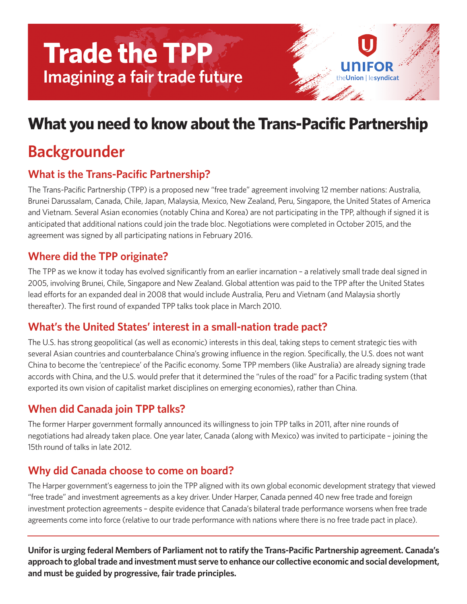# **Trade the TPP Imagining a fair trade future**

# **What you need to know aboutthe Trans-Pacific Partnership**

on Hesyndicat

# **Backgrounder**

### **What is the Trans-Pacific Partnership?**

The Trans-Pacific Partnership (TPP) is a proposed new "free trade" agreement involving 12 member nations: Australia, Brunei Darussalam, Canada, Chile, Japan, Malaysia, Mexico, New Zealand, Peru, Singapore, the United States of America and Vietnam. Several Asian economies (notably China and Korea) are not participating in the TPP, although if signed it is anticipated that additional nations could join the trade bloc. Negotiations were completed in October 2015, and the agreement was signed by all participating nations in February 2016.

#### **Where did the TPP originate?**

The TPP as we know it today has evolved significantly from an earlier incarnation – a relatively small trade deal signed in 2005, involving Brunei, Chile, Singapore and New Zealand. Global attention was paid to the TPP after the United States lead efforts for an expanded deal in 2008 that would include Australia, Peru and Vietnam (and Malaysia shortly thereafter). The first round of expanded TPP talks took place in March 2010.

#### **What's the United States' interest in a small-nation trade pact?**

The U.S. has strong geopolitical (as well as economic) interests in this deal, taking steps to cement strategic ties with several Asian countries and counterbalance China's growing influence in the region. Specifically, the U.S. does not want China to become the 'centrepiece' of the Pacific economy. Some TPP members (like Australia) are already signing trade accords with China, and the U.S. would prefer that it determined the "rules of the road" for a Pacific trading system (that exported its own vision of capitalist market disciplines on emerging economies), rather than China.

### **When did Canada join TPP talks?**

The former Harper government formally announced its willingness to join TPP talks in 2011, after nine rounds of negotiations had already taken place. One year later, Canada (along with Mexico) was invited to participate – joining the 15th round of talks in late 2012.

#### **Why did Canada choose to come on board?**

The Harper government's eagerness to join the TPP aligned with its own global economic development strategy that viewed "free trade" and investment agreements as a key driver. Under Harper, Canada penned 40 new free trade and foreign investment protection agreements – despite evidence that Canada's bilateral trade performance worsens when free trade agreements come into force (relative to our trade performance with nations where there is no free trade pact in place).

**Uniforis urging federal Members of Parliament not to ratify the Trans-Pacific Partnership agreement. Canada's approach to globaltrade and investment must serve to enhance our collective economic and social development, and must be guided by progressive, fair trade principles.**